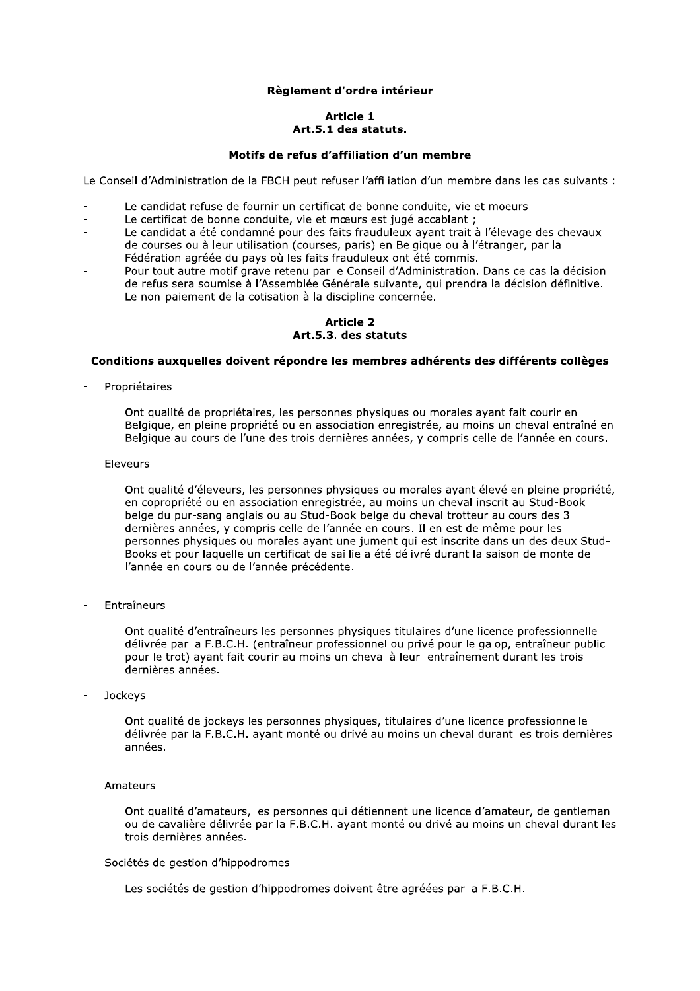# Règlement d'ordre intérieur

## **Article 1** Art.5.1 des statuts.

#### Motifs de refus d'affiliation d'un membre

Le Conseil d'Administration de la FBCH peut refuser l'affiliation d'un membre dans les cas suivants :

- Le candidat refuse de fournir un certificat de bonne conduite, vie et moeurs.
- Le certificat de bonne conduite, vie et mœurs est jugé accablant ;
- Le candidat a été condamné pour des faits frauduleux avant trait à l'élevage des chevaux de courses ou à leur utilisation (courses, paris) en Belgique ou à l'étranger, par la Fédération agréée du pays où les faits frauduleux ont été commis.
- Pour tout autre motif grave retenu par le Conseil d'Administration. Dans ce cas la décision de refus sera soumise à l'Assemblée Générale suivante, qui prendra la décision définitive.
- Le non-paiement de la cotisation à la discipline concernée.

#### **Article 2** Art.5.3. des statuts

#### Conditions auxquelles doivent répondre les membres adhérents des différents collèges

Propriétaires

Ont qualité de propriétaires, les personnes physiques ou morales ayant fait courir en Belgique, en pleine propriété ou en association enregistrée, au moins un cheval entraîné en Belgique au cours de l'une des trois dernières années, y compris celle de l'année en cours.

Eleveurs

Ont qualité d'éleveurs, les personnes physiques ou morales ayant élevé en pleine propriété, en copropriété ou en association enregistrée, au moins un cheval inscrit au Stud-Book belge du pur-sang anglais ou au Stud-Book belge du cheval trotteur au cours des 3 dernières années, y compris celle de l'année en cours. Il en est de même pour les personnes physiques ou morales ayant une jument qui est inscrite dans un des deux Stud-Books et pour laquelle un certificat de saillie a été délivré durant la saison de monte de l'année en cours ou de l'année précédente.

Entraîneurs

Ont qualité d'entraîneurs les personnes physiques titulaires d'une licence professionnelle délivrée par la F.B.C.H. (entraîneur professionnel ou privé pour le galop, entraîneur public pour le trot) ayant fait courir au moins un cheval à leur entraînement durant les trois dernières années.

Jockeys

Ont qualité de jockeys les personnes physiques, titulaires d'une licence professionnelle délivrée par la F.B.C.H. avant monté ou drivé au moins un cheval durant les trois dernières années.

Amateurs

Ont qualité d'amateurs, les personnes qui détiennent une licence d'amateur, de gentleman ou de cavalière délivrée par la F.B.C.H. ayant monté ou drivé au moins un cheval durant les trois dernières années.

Sociétés de gestion d'hippodromes

Les sociétés de gestion d'hippodromes doivent être agréées par la F.B.C.H.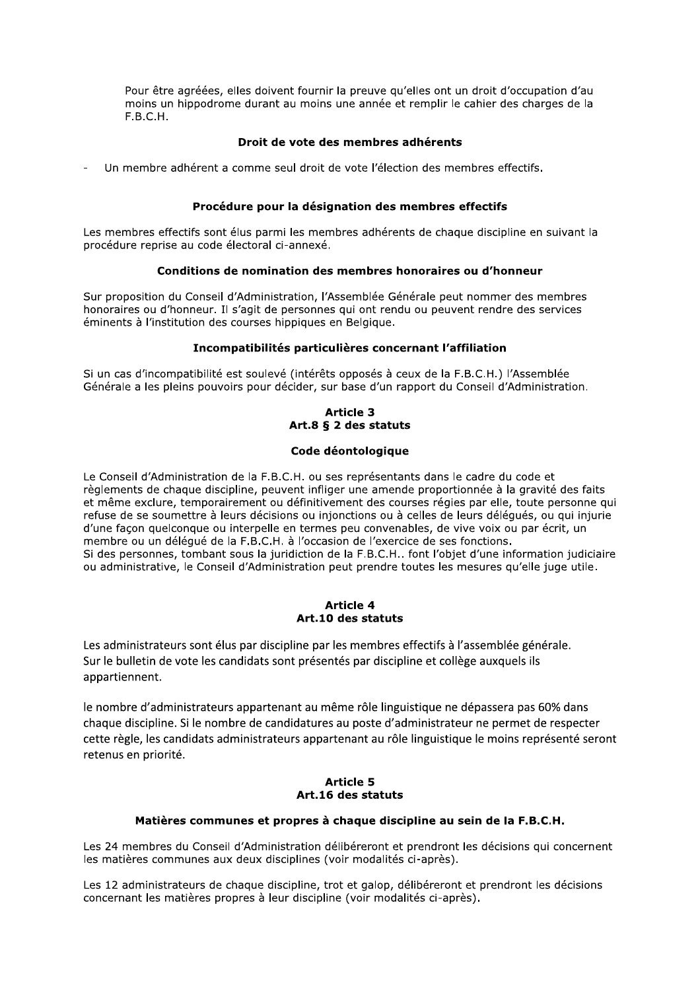Pour être agréées, elles doivent fournir la preuve qu'elles ont un droit d'occupation d'au moins un hippodrome durant au moins une année et remplir le cahier des charges de la  $F.B.C.H.$ 

# Droit de vote des membres adhérents

Un membre adhérent a comme seul droit de vote l'élection des membres effectifs.

# Procédure pour la désignation des membres effectifs

Les membres effectifs sont élus parmi les membres adhérents de chaque discipline en suivant la procédure reprise au code électoral ci-annexé.

### Conditions de nomination des membres honoraires ou d'honneur

Sur proposition du Conseil d'Administration, l'Assemblée Générale peut nommer des membres honoraires ou d'honneur. Il s'agit de personnes qui ont rendu ou peuvent rendre des services éminents à l'institution des courses hippiques en Belgique.

# Incompatibilités particulières concernant l'affiliation

Si un cas d'incompatibilité est soulevé (intérêts opposés à ceux de la F.B.C.H.) l'Assemblée Générale a les pleins pouvoirs pour décider, sur base d'un rapport du Conseil d'Administration.

# **Article 3** Art.8 § 2 des statuts

## Code déontologique

Le Conseil d'Administration de la F.B.C.H. ou ses représentants dans le cadre du code et règlements de chaque discipline, peuvent infliger une amende proportionnée à la gravité des faits et même exclure, temporairement ou définitivement des courses régies par elle, toute personne qui refuse de se soumettre à leurs décisions ou injonctions ou à celles de leurs déléqués, ou qui injurie d'une façon quelconque ou interpelle en termes peu convenables, de vive voix ou par écrit, un membre ou un déléqué de la F.B.C.H. à l'occasion de l'exercice de ses fonctions. Si des personnes, tombant sous la juridiction de la F.B.C.H.. font l'objet d'une information judiciaire ou administrative, le Conseil d'Administration peut prendre toutes les mesures qu'elle juge utile.

#### **Article 4** Art.10 des statuts

Les administrateurs sont élus par discipline par les membres effectifs à l'assemblée générale. Sur le bulletin de vote les candidats sont présentés par discipline et collège auxquels ils appartiennent.

le nombre d'administrateurs appartenant au même rôle linguistique ne dépassera pas 60% dans chaque discipline. Si le nombre de candidatures au poste d'administrateur ne permet de respecter cette règle, les candidats administrateurs appartenant au rôle linguistique le moins représenté seront retenus en priorité.

### **Article 5** Art. 16 des statuts

### Matières communes et propres à chaque discipline au sein de la F.B.C.H.

Les 24 membres du Conseil d'Administration délibéreront et prendront les décisions qui concernent les matières communes aux deux disciplines (voir modalités ci-après).

Les 12 administrateurs de chaque discipline, trot et galop, délibéreront et prendront les décisions concernant les matières propres à leur discipline (voir modalités ci-après).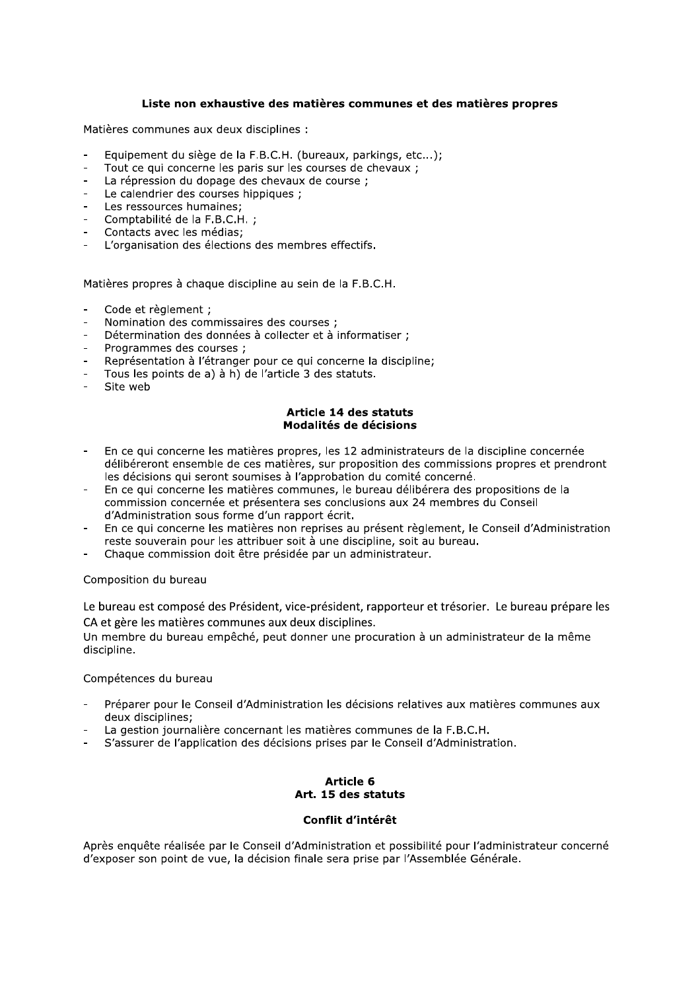## Liste non exhaustive des matières communes et des matières propres

Matières communes aux deux disciplines :

- Equipement du siège de la F.B.C.H. (bureaux, parkings, etc...);
- Tout ce qui concerne les paris sur les courses de chevaux ;
- La répression du dopage des chevaux de course ;  $\overline{a}$
- Le calendrier des courses hippiques ;
- Les ressources humaines:
- Comptabilité de la F.B.C.H. :
- Contacts avec les médias;
- L'organisation des élections des membres effectifs.

Matières propres à chaque discipline au sein de la F.B.C.H.

- Code et règlement ;
- Nomination des commissaires des courses;
- Détermination des données à collecter et à informatiser ;
- Programmes des courses :
- Représentation à l'étranger pour ce qui concerne la discipline;
- Tous les points de a) à h) de l'article 3 des statuts.
- Site web

#### Article 14 des statuts Modalités de décisions

- En ce qui concerne les matières propres, les 12 administrateurs de la discipline concernée délibéreront ensemble de ces matières, sur proposition des commissions propres et prendront les décisions qui seront soumises à l'approbation du comité concerné.
- En ce qui concerne les matières communes, le bureau délibérera des propositions de la commission concernée et présentera ses conclusions aux 24 membres du Conseil d'Administration sous forme d'un rapport écrit.
- En ce qui concerne les matières non reprises au présent règlement, le Conseil d'Administration reste souverain pour les attribuer soit à une discipline, soit au bureau.
- Chaque commission doit être présidée par un administrateur.

#### Composition du bureau

Le bureau est composé des Président, vice-président, rapporteur et trésorier. Le bureau prépare les CA et gère les matières communes aux deux disciplines.

Un membre du bureau empêché, peut donner une procuration à un administrateur de la même discipline.

#### Compétences du bureau

- Préparer pour le Conseil d'Administration les décisions relatives aux matières communes aux deux disciplines:
- La gestion journalière concernant les matières communes de la F.B.C.H.
- S'assurer de l'application des décisions prises par le Conseil d'Administration.

### Article 6 Art. 15 des statuts

## Conflit d'intérêt

Après enquête réalisée par le Conseil d'Administration et possibilité pour l'administrateur concerné d'exposer son point de vue, la décision finale sera prise par l'Assemblée Générale.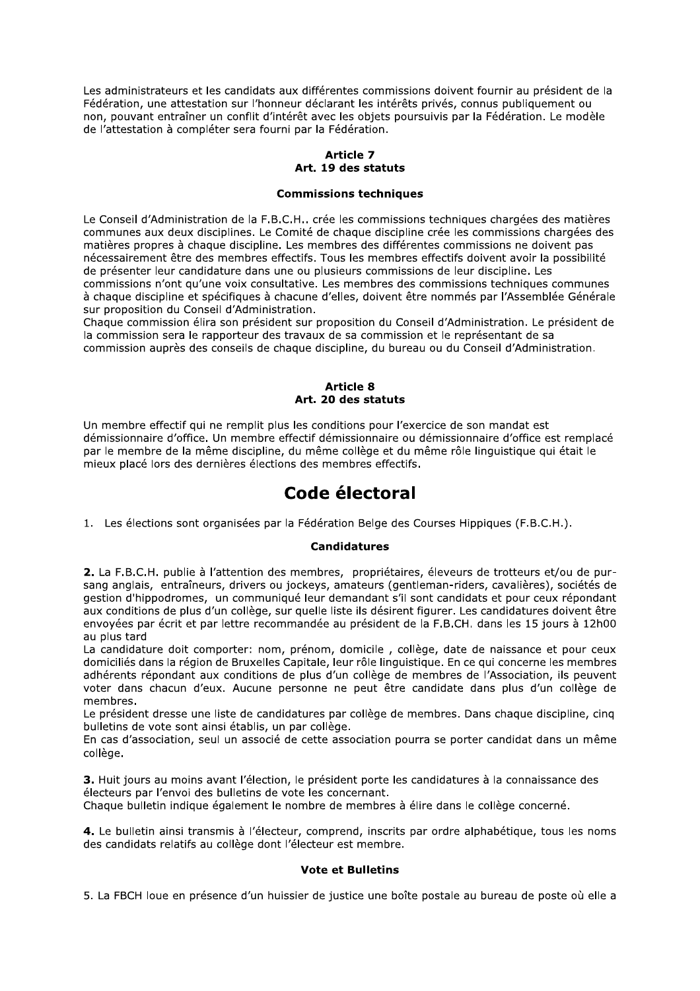Les administrateurs et les candidats aux différentes commissions doivent fournir au président de la Fédération, une attestation sur l'honneur déclarant les intérêts privés, connus publiquement ou non, pouvant entraîner un conflit d'intérêt avec les objets poursuivis par la Fédération. Le modèle de l'attestation à compléter sera fourni par la Fédération.

# **Article 7** Art. 19 des statuts

#### **Commissions techniques**

Le Conseil d'Administration de la F.B.C.H.. crée les commissions techniques chargées des matières communes aux deux disciplines. Le Comité de chaque discipline crée les commissions chargées des matières propres à chaque discipline. Les membres des différentes commissions ne doivent pas nécessairement être des membres effectifs. Tous les membres effectifs doivent avoir la possibilité de présenter leur candidature dans une ou plusieurs commissions de leur discipline. Les commissions n'ont qu'une voix consultative. Les membres des commissions techniques communes à chaque discipline et spécifiques à chacune d'elles, doivent être nommés par l'Assemblée Générale sur proposition du Conseil d'Administration.

Chaque commission élira son président sur proposition du Conseil d'Administration. Le président de la commission sera le rapporteur des travaux de sa commission et le représentant de sa commission auprès des conseils de chaque discipline, du bureau ou du Conseil d'Administration.

#### **Article 8** Art. 20 des statuts

Un membre effectif qui ne remplit plus les conditions pour l'exercice de son mandat est démissionnaire d'office. Un membre effectif démissionnaire ou démissionnaire d'office est remplacé par le membre de la même discipline, du même collège et du même rôle linguistique qui était le mieux placé lors des dernières élections des membres effectifs.

# Code électoral

1. Les élections sont organisées par la Fédération Belge des Courses Hippiques (F.B.C.H.).

### **Candidatures**

2. La F.B.C.H. publie à l'attention des membres, propriétaires, éleveurs de trotteurs et/ou de pursang anglais, entraîneurs, drivers ou jockeys, amateurs (gentleman-riders, cavalières), sociétés de gestion d'hippodromes, un communiqué leur demandant s'il sont candidats et pour ceux répondant aux conditions de plus d'un collège, sur quelle liste ils désirent figurer. Les candidatures doivent être envoyées par écrit et par lettre recommandée au président de la F.B.CH. dans les 15 jours à 12h00 au plus tard

La candidature doit comporter: nom, prénom, domicile, collège, date de naissance et pour ceux domiciliés dans la région de Bruxelles Capitale, leur rôle linguistique. En ce qui concerne les membres adhérents répondant aux conditions de plus d'un collège de membres de l'Association, ils peuvent voter dans chacun d'eux. Aucune personne ne peut être candidate dans plus d'un collège de membres.

Le président dresse une liste de candidatures par collège de membres. Dans chaque discipline, cing bulletins de vote sont ainsi établis, un par collège.

En cas d'association, seul un associé de cette association pourra se porter candidat dans un même collège.

3. Huit jours au moins avant l'élection, le président porte les candidatures à la connaissance des électeurs par l'envoi des bulletins de vote les concernant.

Chaque bulletin indique également le nombre de membres à élire dans le collège concerné.

4. Le bulletin ainsi transmis à l'électeur, comprend, inscrits par ordre alphabétique, tous les noms des candidats relatifs au collège dont l'électeur est membre.

### **Vote et Bulletins**

5. La FBCH loue en présence d'un huissier de justice une boîte postale au bureau de poste où elle a